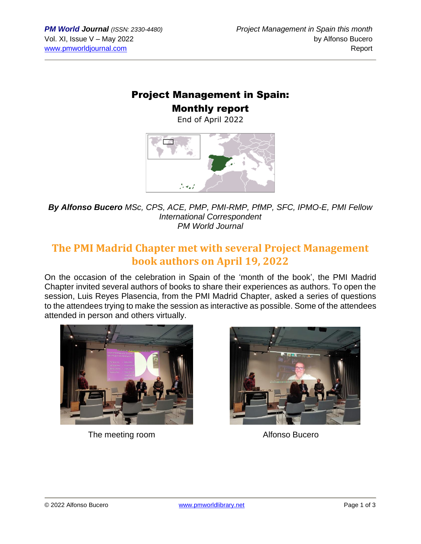## Project Management in Spain: Monthly report

End of April 2022



*By Alfonso Bucero MSc, CPS, ACE, PMP, PMI-RMP, PfMP, SFC, IPMO-E, PMI Fellow International Correspondent PM World Journal*

## **The PMI Madrid Chapter met with several Project Management book authors on April 19, 2022**

On the occasion of the celebration in Spain of the 'month of the book', the PMI Madrid Chapter invited several authors of books to share their experiences as authors. To open the session, Luis Reyes Plasencia, from the PMI Madrid Chapter, asked a series of questions to the attendees trying to make the session as interactive as possible. Some of the attendees attended in person and others virtually.



The meeting room and a settlement of the Mathematical Alfonso Bucero

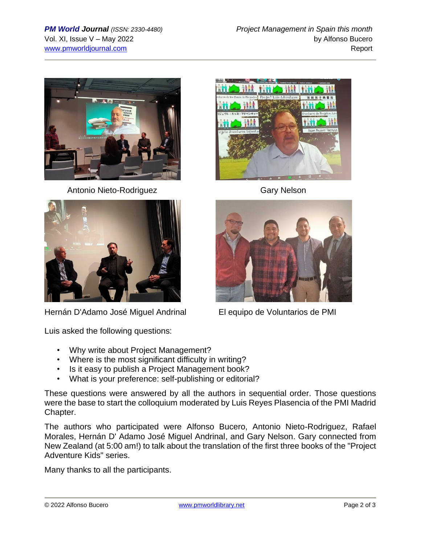

Antonio Nieto-Rodriguez **Gary Nelson** 



[Hernán D'Adamo](https://www.linkedin.com/in/ACoAAAZFgYgBxa4F9A4WkYZDXDTKdw6O3a4YRUY) [José Miguel Andrinal](https://www.linkedin.com/in/ACoAAAEHppABfffXfQ9XIaVuZcGv9Mp4YpoKgNs) El equipo de Voluntarios de PMI

Luis asked the following questions:

- Why write about Project Management?
- Where is the most significant difficulty in writing?
- Is it easy to publish a Project Management book?
- What is your preference: self-publishing or editorial?

These questions were answered by all the authors in sequential order. Those questions were the base to start the colloquium moderated by Luis Reyes Plasencia of the PMI Madrid Chapter.

The authors who participated were Alfonso Bucero, Antonio Nieto-Rodriguez, Rafael Morales, Hernán D' Adamo José Miguel Andrinal, and Gary Nelson. Gary connected from New Zealand (at 5:00 am!) to talk about the translation of the first three books of the "Project Adventure Kids" series.

Many thanks to all the participants.